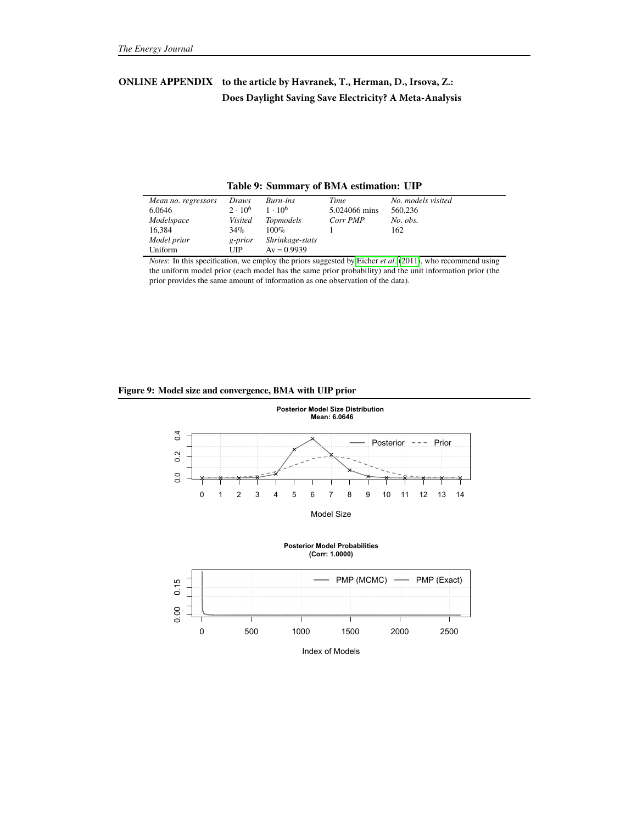# **ONLINE APPENDIX to the article by Havranek, T., Herman, D., Irsova, Z.: Does Daylight Saving Save Electricity? A Meta-Analysis**

|  | Table 9: Summary of BMA estimation: UIP |  |
|--|-----------------------------------------|--|
|  |                                         |  |

| Mean no. regressors | Draws          | Burn-ins                    | Time          | No. models visited |
|---------------------|----------------|-----------------------------|---------------|--------------------|
| 6.0646              | $2 \cdot 10^6$ | $1 \cdot 10^6$              | 5.024066 mins | 560,236            |
| Modelspace          | <b>Visited</b> | <i>Topmodels</i>            | Corr PMP      | No. obs.           |
| 16.384              | $34\%$         | $100\%$                     |               | 162                |
| Model prior         | g-prior        | Shrinkage-stats             |               |                    |
| Uniform             | UIP            | $Av = 0.9939$               |               |                    |
| $\sim$ $\sim$<br>.  | ____           | $\sim$ $\sim$ $\sim$ $\sim$ | .             | .                  |

*Notes*: In this specification, we employ the priors suggested by [Eicher](#page--1-0) *et al.* [\(2011\)](#page--1-0), who recommend using the uniform model prior (each model has the same prior probability) and the unit information prior (the prior provides the same amount of information as one observation of the data).

# **Figure 9: Model size and convergence, BMA with UIP prior**

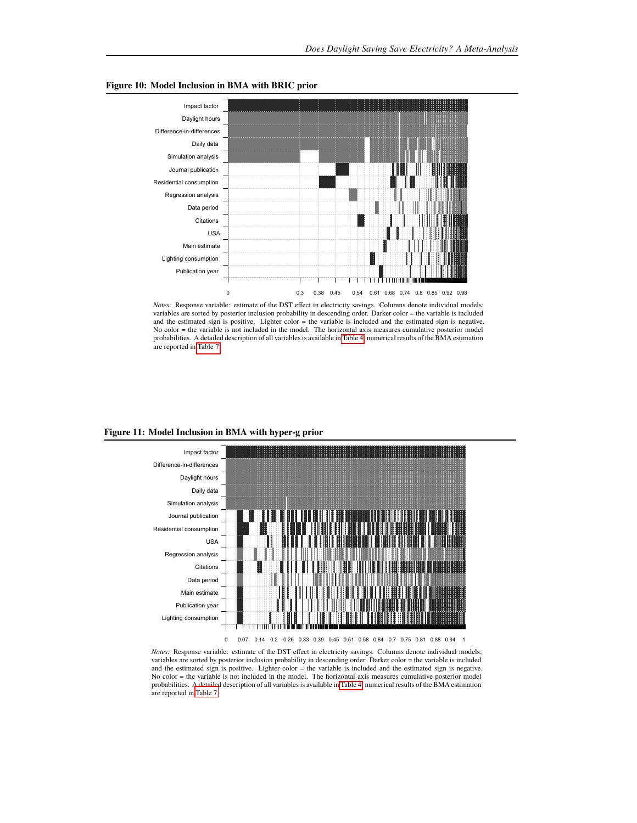

### **Figure 10: Model Inclusion in BMA with BRIC prior**



#### **Figure 11: Model Inclusion in BMA with hyper-g prior**



*Notes:* Response variable: estimate of the DST effect in electricity savings. Columns denote individual models; variables are sorted by posterior inclusion probability in descending order. Darker color = the variable is included and the estimated sign is positive. Lighter color = the variable is included and the estimated sign is negative. No color = the variable is not included in the model. The horizontal axis measures cumulative posterior model probabilities. A detailed description of all variables is available i[n Table 4;](#page--1-1) numerical results of the BMA estimation are reported in [Table 7.](#page--1-2)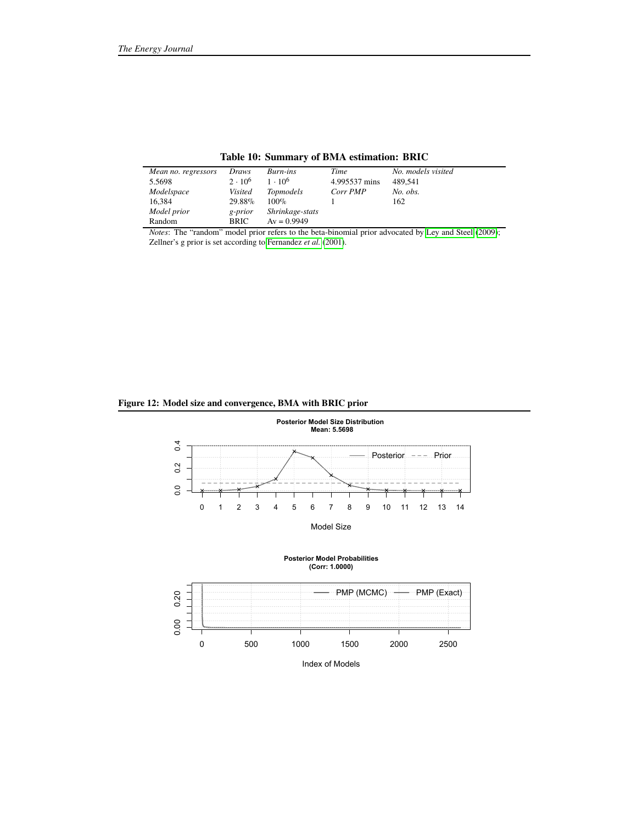| Mean no. regressors | Draws          | Burn-ins         | Time          | No. models visited |
|---------------------|----------------|------------------|---------------|--------------------|
| 5.5698              | $2 \cdot 10^6$ | $1 \cdot 10^6$   | 4.995537 mins | 489.541            |
| Modelspace          | Visited        | <i>Topmodels</i> | Corr PMP      | No. obs.           |
| 16.384              | 29.88%         | $100\%$          |               | 162                |
| Model prior         | g-prior        | Shrinkage-stats  |               |                    |
| Random              | <b>BRIC</b>    | $Av = 0.9949$    |               |                    |

# **Table 10: Summary of BMA estimation: BRIC**

*Notes*: The "random" model prior refers to the beta-binomial prior advocated by [Ley and Steel](#page--1-3) [\(2009\)](#page--1-3); Zellner's g prior is set according to [Fernandez](#page--1-4) *et al.* [\(2001\)](#page--1-4).

# **Figure 12: Model size and convergence, BMA with BRIC prior**





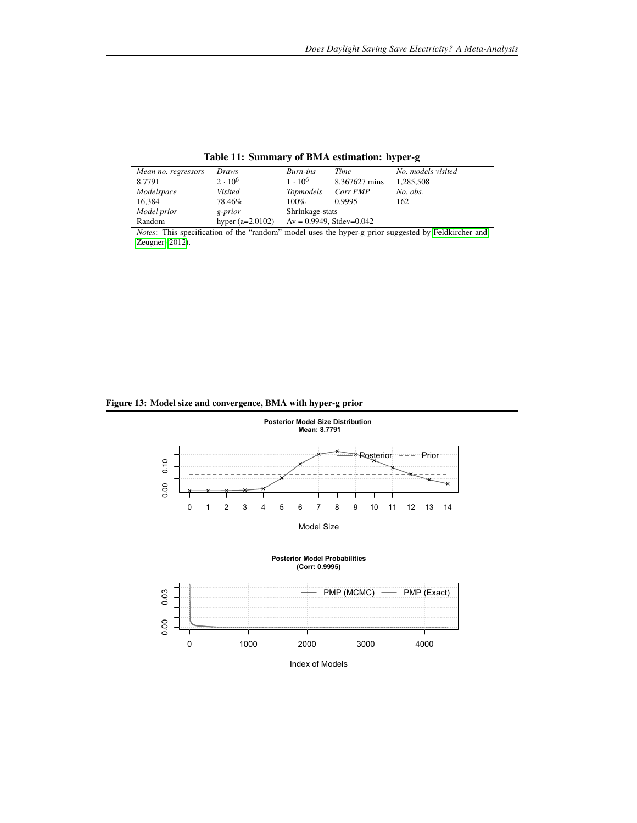| Mean no. regressors | Draws              | Burn-ins                       | Time          | No. models visited |
|---------------------|--------------------|--------------------------------|---------------|--------------------|
| 8.7791              | $2 \cdot 10^6$     | $1 \cdot 10^{6}$               | 8.367627 mins | 1,285,508          |
| Modelspace          | Visited            | <b>Topmodels</b>               | Corr PMP      | No. obs.           |
| 16.384              | 78.46%             | $100\%$                        | 0.9995        | 162                |
| Model prior         | g-prior            | Shrinkage-stats                |               |                    |
| Random              | hyper $(a=2.0102)$ | $Av = 0.9949$ , Stdev= $0.042$ |               |                    |

**Table 11: Summary of BMA estimation: hyper-g**

*Notes*: This specification of the "random" model uses the hyper-g prior suggested by [Feldkircher and](#page--1-5) [Zeugner](#page--1-5) [\(2012\)](#page--1-5).

# **Figure 13: Model size and convergence, BMA with hyper-g prior**





Index of Models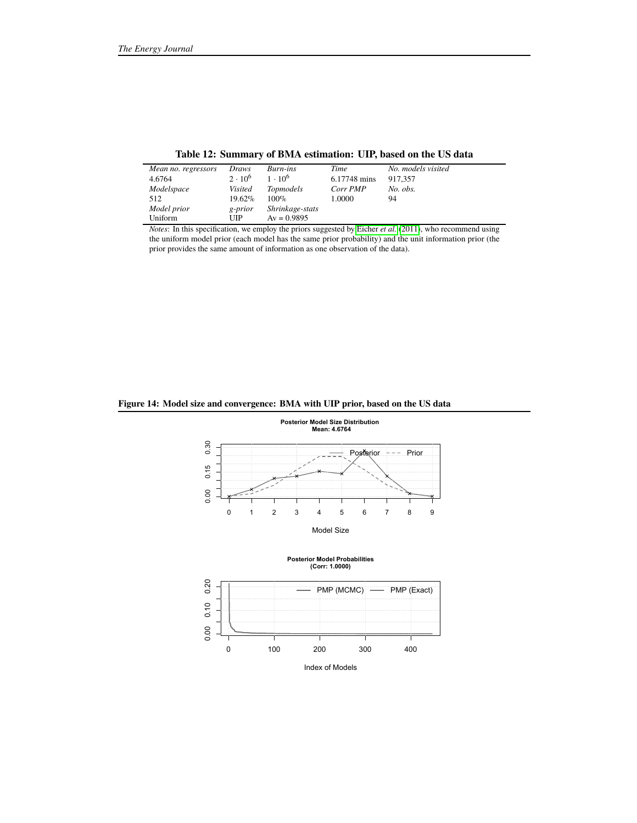| Mean no. regressors | Draws          | Burn-ins         | Time         | No. models visited |
|---------------------|----------------|------------------|--------------|--------------------|
| 4.6764              | $2 \cdot 10^6$ | $1 \cdot 10^{6}$ | 6.17748 mins | 917.357            |
| Modelspace          | <b>Visited</b> | <i>Topmodels</i> | Corr PMP     | No. obs.           |
| 512                 | 19.62%         | $100\%$          | 1.0000       | 94                 |
| Model prior         | g-prior        | Shrinkage-stats  |              |                    |
| Uniform             | <b>UIP</b>     | $Av = 0.9895$    |              |                    |

**Table 12: Summary of BMA estimation: UIP, based on the US data**

*Notes*: In this specification, we employ the priors suggested by [Eicher](#page--1-0) *et al.* [\(2011\)](#page--1-0), who recommend using the uniform model prior (each model has the same prior probability) and the unit information prior (the prior provides the same amount of information as one observation of the data).

# **Figure 14: Model size and convergence: BMA with UIP prior, based on the US data**









Index of Models